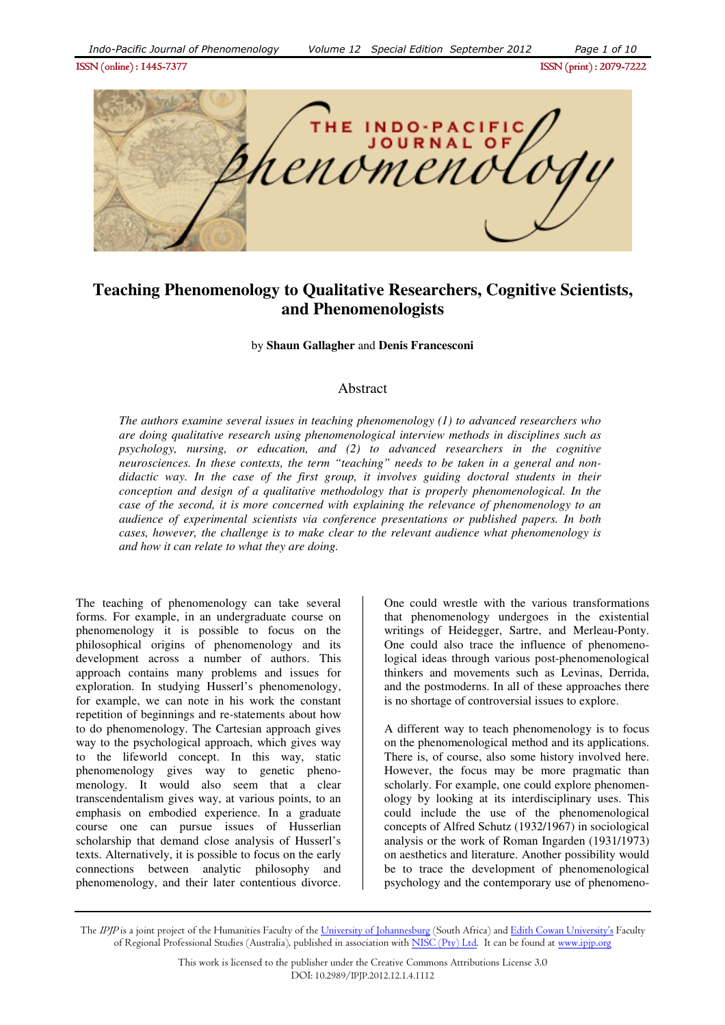

# **Teaching Phenomenology to Qualitative Researchers, Cognitive Scientists, and Phenomenologists**

by **Shaun Gallagher** and **Denis Francesconi** 

## Abstract

*The authors examine several issues in teaching phenomenology (1) to advanced researchers who are doing qualitative research using phenomenological interview methods in disciplines such as psychology, nursing, or education, and (2) to advanced researchers in the cognitive neurosciences. In these contexts, the term "teaching" needs to be taken in a general and nondidactic way. In the case of the first group, it involves guiding doctoral students in their conception and design of a qualitative methodology that is properly phenomenological. In the case of the second, it is more concerned with explaining the relevance of phenomenology to an audience of experimental scientists via conference presentations or published papers. In both cases, however, the challenge is to make clear to the relevant audience what phenomenology is and how it can relate to what they are doing.* 

The teaching of phenomenology can take several forms. For example, in an undergraduate course on phenomenology it is possible to focus on the philosophical origins of phenomenology and its development across a number of authors. This approach contains many problems and issues for exploration. In studying Husserl's phenomenology, for example, we can note in his work the constant repetition of beginnings and re-statements about how to do phenomenology. The Cartesian approach gives way to the psychological approach, which gives way to the lifeworld concept. In this way, static phenomenology gives way to genetic phenomenology. It would also seem that a clear transcendentalism gives way, at various points, to an emphasis on embodied experience. In a graduate course one can pursue issues of Husserlian scholarship that demand close analysis of Husserl's texts. Alternatively, it is possible to focus on the early connections between analytic philosophy and phenomenology, and their later contentious divorce.

One could wrestle with the various transformations that phenomenology undergoes in the existential writings of Heidegger, Sartre, and Merleau-Ponty. One could also trace the influence of phenomenological ideas through various post-phenomenological thinkers and movements such as Levinas, Derrida, and the postmoderns. In all of these approaches there is no shortage of controversial issues to explore.

A different way to teach phenomenology is to focus on the phenomenological method and its applications. There is, of course, also some history involved here. However, the focus may be more pragmatic than scholarly. For example, one could explore phenomenology by looking at its interdisciplinary uses. This could include the use of the phenomenological concepts of Alfred Schutz (1932/1967) in sociological analysis or the work of Roman Ingarden (1931/1973) on aesthetics and literature. Another possibility would be to trace the development of phenomenological psychology and the contemporary use of phenomeno-

The IPJP is a joint project of the Humanities Faculty of the University of Johannesburg (South Africa) and Edith Cowan University's Faculty of Regional Professional Studies (Australia), published in association with NISC (Pty) Ltd. It can be found at www.ipjp.org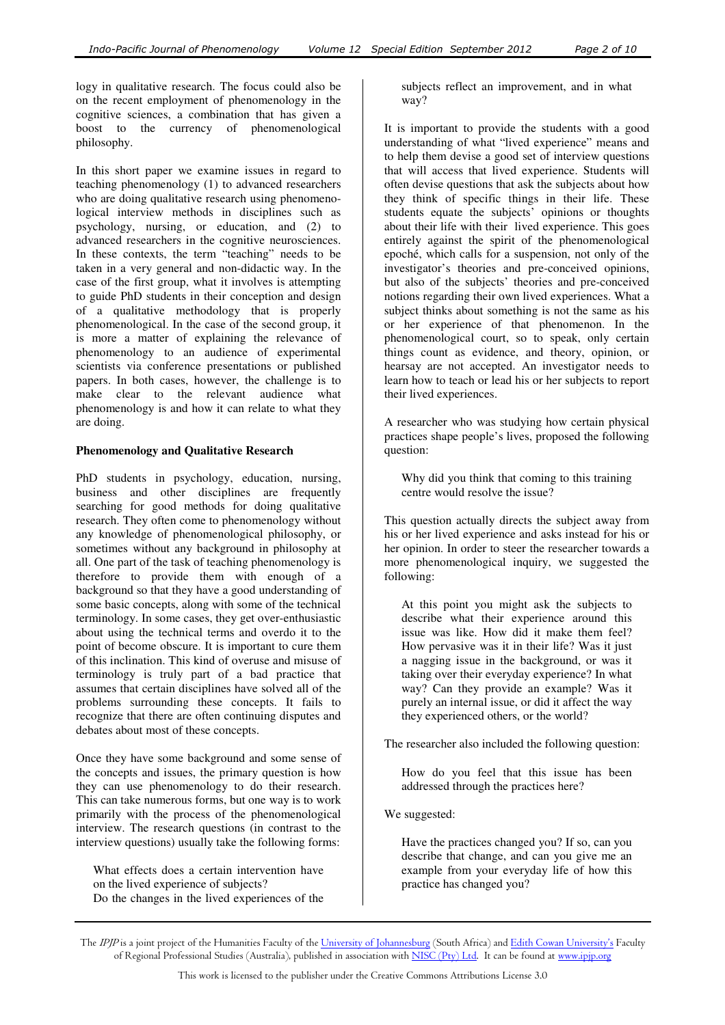logy in qualitative research. The focus could also be on the recent employment of phenomenology in the cognitive sciences, a combination that has given a boost to the currency of phenomenological philosophy.

In this short paper we examine issues in regard to teaching phenomenology (1) to advanced researchers who are doing qualitative research using phenomenological interview methods in disciplines such as psychology, nursing, or education, and (2) to advanced researchers in the cognitive neurosciences. In these contexts, the term "teaching" needs to be taken in a very general and non-didactic way. In the case of the first group, what it involves is attempting to guide PhD students in their conception and design of a qualitative methodology that is properly phenomenological. In the case of the second group, it is more a matter of explaining the relevance of phenomenology to an audience of experimental scientists via conference presentations or published papers. In both cases, however, the challenge is to make clear to the relevant audience what phenomenology is and how it can relate to what they are doing.

## **Phenomenology and Qualitative Research**

PhD students in psychology, education, nursing, business and other disciplines are frequently searching for good methods for doing qualitative research. They often come to phenomenology without any knowledge of phenomenological philosophy, or sometimes without any background in philosophy at all. One part of the task of teaching phenomenology is therefore to provide them with enough of a background so that they have a good understanding of some basic concepts, along with some of the technical terminology. In some cases, they get over-enthusiastic about using the technical terms and overdo it to the point of become obscure. It is important to cure them of this inclination. This kind of overuse and misuse of terminology is truly part of a bad practice that assumes that certain disciplines have solved all of the problems surrounding these concepts. It fails to recognize that there are often continuing disputes and debates about most of these concepts.

Once they have some background and some sense of the concepts and issues, the primary question is how they can use phenomenology to do their research. This can take numerous forms, but one way is to work primarily with the process of the phenomenological interview. The research questions (in contrast to the interview questions) usually take the following forms:

What effects does a certain intervention have on the lived experience of subjects? Do the changes in the lived experiences of the subjects reflect an improvement, and in what way?

It is important to provide the students with a good understanding of what "lived experience" means and to help them devise a good set of interview questions that will access that lived experience. Students will often devise questions that ask the subjects about how they think of specific things in their life. These students equate the subjects' opinions or thoughts about their life with their lived experience. This goes entirely against the spirit of the phenomenological epoché, which calls for a suspension, not only of the investigator's theories and pre-conceived opinions, but also of the subjects' theories and pre-conceived notions regarding their own lived experiences. What a subject thinks about something is not the same as his or her experience of that phenomenon. In the phenomenological court, so to speak, only certain things count as evidence, and theory, opinion, or hearsay are not accepted. An investigator needs to learn how to teach or lead his or her subjects to report their lived experiences.

A researcher who was studying how certain physical practices shape people's lives, proposed the following question:

Why did you think that coming to this training centre would resolve the issue?

This question actually directs the subject away from his or her lived experience and asks instead for his or her opinion. In order to steer the researcher towards a more phenomenological inquiry, we suggested the following:

At this point you might ask the subjects to describe what their experience around this issue was like. How did it make them feel? How pervasive was it in their life? Was it just a nagging issue in the background, or was it taking over their everyday experience? In what way? Can they provide an example? Was it purely an internal issue, or did it affect the way they experienced others, or the world?

The researcher also included the following question:

How do you feel that this issue has been addressed through the practices here?

We suggested:

Have the practices changed you? If so, can you describe that change, and can you give me an example from your everyday life of how this practice has changed you?

The *IPJP* is a joint project of the Humanities Faculty of the <u>University of Johannesburg</u> (South Africa) and <u>Edith Cowan University's</u> Faculty of Regional Professional Studies (Australia), published in association with <u>NISC (Pty) Ltd</u>. It can be found at <u>www.ipjp.org</u>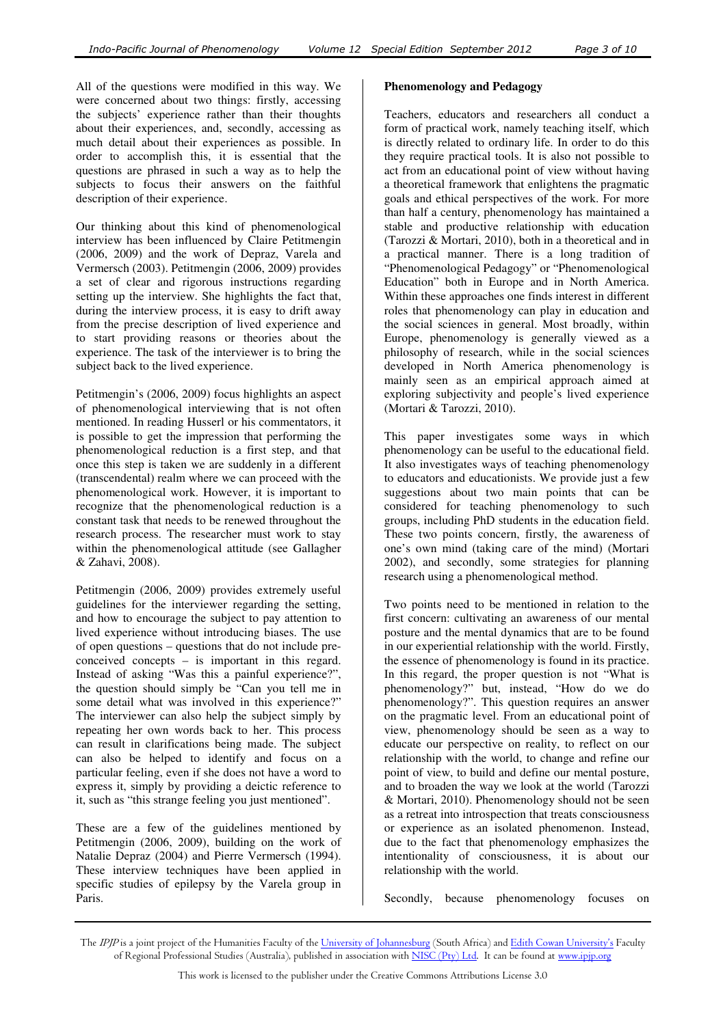All of the questions were modified in this way. We were concerned about two things: firstly, accessing the subjects' experience rather than their thoughts about their experiences, and, secondly, accessing as much detail about their experiences as possible. In order to accomplish this, it is essential that the questions are phrased in such a way as to help the subjects to focus their answers on the faithful description of their experience.

Our thinking about this kind of phenomenological interview has been influenced by Claire Petitmengin (2006, 2009) and the work of Depraz, Varela and Vermersch (2003). Petitmengin (2006, 2009) provides a set of clear and rigorous instructions regarding setting up the interview. She highlights the fact that, during the interview process, it is easy to drift away from the precise description of lived experience and to start providing reasons or theories about the experience. The task of the interviewer is to bring the subject back to the lived experience.

Petitmengin's (2006, 2009) focus highlights an aspect of phenomenological interviewing that is not often mentioned. In reading Husserl or his commentators, it is possible to get the impression that performing the phenomenological reduction is a first step, and that once this step is taken we are suddenly in a different (transcendental) realm where we can proceed with the phenomenological work. However, it is important to recognize that the phenomenological reduction is a constant task that needs to be renewed throughout the research process. The researcher must work to stay within the phenomenological attitude (see Gallagher & Zahavi, 2008).

Petitmengin (2006, 2009) provides extremely useful guidelines for the interviewer regarding the setting, and how to encourage the subject to pay attention to lived experience without introducing biases. The use of open questions – questions that do not include preconceived concepts – is important in this regard. Instead of asking "Was this a painful experience?", the question should simply be "Can you tell me in some detail what was involved in this experience?" The interviewer can also help the subject simply by repeating her own words back to her. This process can result in clarifications being made. The subject can also be helped to identify and focus on a particular feeling, even if she does not have a word to express it, simply by providing a deictic reference to it, such as "this strange feeling you just mentioned".

These are a few of the guidelines mentioned by Petitmengin (2006, 2009), building on the work of Natalie Depraz (2004) and Pierre Vermersch (1994). These interview techniques have been applied in specific studies of epilepsy by the Varela group in Paris.

## **Phenomenology and Pedagogy**

Teachers, educators and researchers all conduct a form of practical work, namely teaching itself, which is directly related to ordinary life. In order to do this they require practical tools. It is also not possible to act from an educational point of view without having a theoretical framework that enlightens the pragmatic goals and ethical perspectives of the work. For more than half a century, phenomenology has maintained a stable and productive relationship with education (Tarozzi & Mortari, 2010), both in a theoretical and in a practical manner. There is a long tradition of "Phenomenological Pedagogy" or "Phenomenological Education" both in Europe and in North America. Within these approaches one finds interest in different roles that phenomenology can play in education and the social sciences in general. Most broadly, within Europe, phenomenology is generally viewed as a philosophy of research, while in the social sciences developed in North America phenomenology is mainly seen as an empirical approach aimed at exploring subjectivity and people's lived experience (Mortari & Tarozzi, 2010).

This paper investigates some ways in which phenomenology can be useful to the educational field. It also investigates ways of teaching phenomenology to educators and educationists. We provide just a few suggestions about two main points that can be considered for teaching phenomenology to such groups, including PhD students in the education field. These two points concern, firstly, the awareness of one's own mind (taking care of the mind) (Mortari 2002), and secondly, some strategies for planning research using a phenomenological method.

Two points need to be mentioned in relation to the first concern: cultivating an awareness of our mental posture and the mental dynamics that are to be found in our experiential relationship with the world. Firstly, the essence of phenomenology is found in its practice. In this regard, the proper question is not "What is phenomenology?" but, instead, "How do we do phenomenology?". This question requires an answer on the pragmatic level. From an educational point of view, phenomenology should be seen as a way to educate our perspective on reality, to reflect on our relationship with the world, to change and refine our point of view, to build and define our mental posture, and to broaden the way we look at the world (Tarozzi & Mortari, 2010). Phenomenology should not be seen as a retreat into introspection that treats consciousness or experience as an isolated phenomenon. Instead, due to the fact that phenomenology emphasizes the intentionality of consciousness, it is about our relationship with the world.

Secondly, because phenomenology focuses on

The IPJP is a joint project of the Humanities Faculty of the University of Johannesburg (South Africa) and Edith Cowan University's Faculty of Regional Professional Studies (Australia), published in association with NISC (Pty) Ltd. It can be found at www.ipjp.org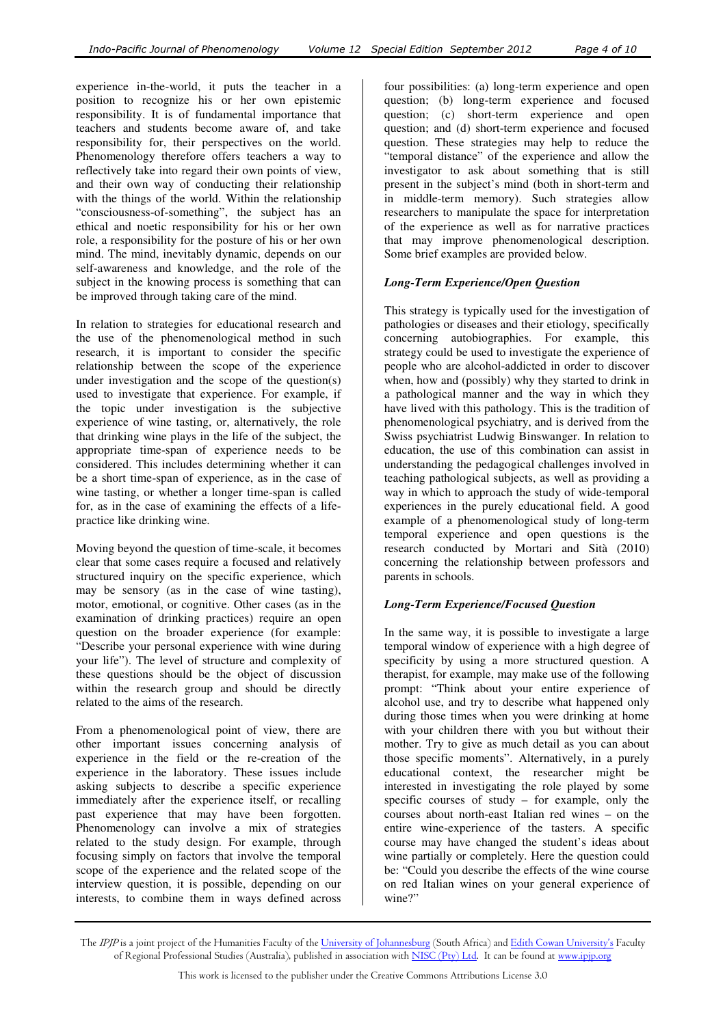experience in-the-world, it puts the teacher in a position to recognize his or her own epistemic responsibility. It is of fundamental importance that teachers and students become aware of, and take responsibility for, their perspectives on the world. Phenomenology therefore offers teachers a way to reflectively take into regard their own points of view, and their own way of conducting their relationship with the things of the world. Within the relationship "consciousness-of-something", the subject has an ethical and noetic responsibility for his or her own role, a responsibility for the posture of his or her own mind. The mind, inevitably dynamic, depends on our self-awareness and knowledge, and the role of the subject in the knowing process is something that can be improved through taking care of the mind.

In relation to strategies for educational research and the use of the phenomenological method in such research, it is important to consider the specific relationship between the scope of the experience under investigation and the scope of the question(s) used to investigate that experience. For example, if the topic under investigation is the subjective experience of wine tasting, or, alternatively, the role that drinking wine plays in the life of the subject, the appropriate time-span of experience needs to be considered. This includes determining whether it can be a short time-span of experience, as in the case of wine tasting, or whether a longer time-span is called for, as in the case of examining the effects of a lifepractice like drinking wine.

Moving beyond the question of time-scale, it becomes clear that some cases require a focused and relatively structured inquiry on the specific experience, which may be sensory (as in the case of wine tasting), motor, emotional, or cognitive. Other cases (as in the examination of drinking practices) require an open question on the broader experience (for example: "Describe your personal experience with wine during your life"). The level of structure and complexity of these questions should be the object of discussion within the research group and should be directly related to the aims of the research.

From a phenomenological point of view, there are other important issues concerning analysis of experience in the field or the re-creation of the experience in the laboratory. These issues include asking subjects to describe a specific experience immediately after the experience itself, or recalling past experience that may have been forgotten. Phenomenology can involve a mix of strategies related to the study design. For example, through focusing simply on factors that involve the temporal scope of the experience and the related scope of the interview question, it is possible, depending on our interests, to combine them in ways defined across

four possibilities: (a) long-term experience and open question; (b) long-term experience and focused question; (c) short-term experience and open question; and (d) short-term experience and focused question. These strategies may help to reduce the "temporal distance" of the experience and allow the investigator to ask about something that is still present in the subject's mind (both in short-term and in middle-term memory). Such strategies allow researchers to manipulate the space for interpretation of the experience as well as for narrative practices that may improve phenomenological description. Some brief examples are provided below.

#### *Long-Term Experience/Open Question*

This strategy is typically used for the investigation of pathologies or diseases and their etiology, specifically concerning autobiographies. For example, this strategy could be used to investigate the experience of people who are alcohol-addicted in order to discover when, how and (possibly) why they started to drink in a pathological manner and the way in which they have lived with this pathology. This is the tradition of phenomenological psychiatry, and is derived from the Swiss psychiatrist Ludwig Binswanger. In relation to education, the use of this combination can assist in understanding the pedagogical challenges involved in teaching pathological subjects, as well as providing a way in which to approach the study of wide-temporal experiences in the purely educational field. A good example of a phenomenological study of long-term temporal experience and open questions is the research conducted by Mortari and Sità (2010) concerning the relationship between professors and parents in schools.

## *Long-Term Experience/Focused Question*

In the same way, it is possible to investigate a large temporal window of experience with a high degree of specificity by using a more structured question. A therapist, for example, may make use of the following prompt: "Think about your entire experience of alcohol use, and try to describe what happened only during those times when you were drinking at home with your children there with you but without their mother. Try to give as much detail as you can about those specific moments". Alternatively, in a purely educational context, the researcher might be interested in investigating the role played by some specific courses of study – for example, only the courses about north-east Italian red wines – on the entire wine-experience of the tasters. A specific course may have changed the student's ideas about wine partially or completely. Here the question could be: "Could you describe the effects of the wine course on red Italian wines on your general experience of wine?"

The *IPJP* is a joint project of the Humanities Faculty of the <u>University of Johannesburg</u> (South Africa) and <u>Edith Cowan University's</u> Faculty of Regional Professional Studies (Australia), published in association with <u>NISC (Pty) Ltd</u>. It can be found at <u>www.ipjp.org</u>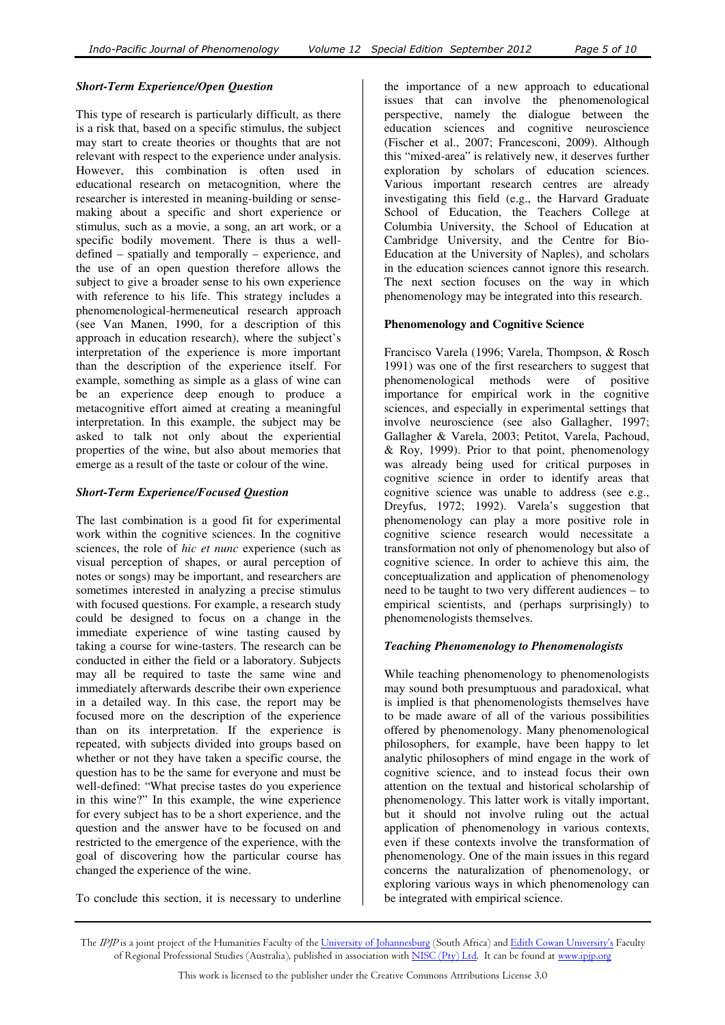## *Short-Term Experience/Open Question*

This type of research is particularly difficult, as there is a risk that, based on a specific stimulus, the subject may start to create theories or thoughts that are not relevant with respect to the experience under analysis. However, this combination is often used in educational research on metacognition, where the researcher is interested in meaning-building or sensemaking about a specific and short experience or stimulus, such as a movie, a song, an art work, or a specific bodily movement. There is thus a welldefined – spatially and temporally – experience, and the use of an open question therefore allows the subject to give a broader sense to his own experience with reference to his life. This strategy includes a phenomenological-hermeneutical research approach (see Van Manen, 1990, for a description of this approach in education research), where the subject's interpretation of the experience is more important than the description of the experience itself. For example, something as simple as a glass of wine can be an experience deep enough to produce a metacognitive effort aimed at creating a meaningful interpretation. In this example, the subject may be asked to talk not only about the experiential properties of the wine, but also about memories that emerge as a result of the taste or colour of the wine.

## *Short-Term Experience/Focused Question*

The last combination is a good fit for experimental work within the cognitive sciences. In the cognitive sciences, the role of *hic et nunc* experience (such as visual perception of shapes, or aural perception of notes or songs) may be important, and researchers are sometimes interested in analyzing a precise stimulus with focused questions. For example, a research study could be designed to focus on a change in the immediate experience of wine tasting caused by taking a course for wine-tasters. The research can be conducted in either the field or a laboratory. Subjects may all be required to taste the same wine and immediately afterwards describe their own experience in a detailed way. In this case, the report may be focused more on the description of the experience than on its interpretation. If the experience is repeated, with subjects divided into groups based on whether or not they have taken a specific course, the question has to be the same for everyone and must be well-defined: "What precise tastes do you experience in this wine?" In this example, the wine experience for every subject has to be a short experience, and the question and the answer have to be focused on and restricted to the emergence of the experience, with the goal of discovering how the particular course has changed the experience of the wine.

To conclude this section, it is necessary to underline

the importance of a new approach to educational issues that can involve the phenomenological perspective, namely the dialogue between the education sciences and cognitive neuroscience (Fischer et al., 2007; Francesconi, 2009). Although this "mixed-area" is relatively new, it deserves further exploration by scholars of education sciences. Various important research centres are already investigating this field (e.g., the Harvard Graduate School of Education, the Teachers College at Columbia University, the School of Education at Cambridge University, and the Centre for Bio-Education at the University of Naples), and scholars in the education sciences cannot ignore this research. The next section focuses on the way in which phenomenology may be integrated into this research.

#### **Phenomenology and Cognitive Science**

Francisco Varela (1996; Varela, Thompson, & Rosch 1991) was one of the first researchers to suggest that phenomenological methods were of positive importance for empirical work in the cognitive sciences, and especially in experimental settings that involve neuroscience (see also Gallagher, 1997; Gallagher & Varela, 2003; Petitot, Varela, Pachoud, & Roy, 1999). Prior to that point, phenomenology was already being used for critical purposes in cognitive science in order to identify areas that cognitive science was unable to address (see e.g., Dreyfus, 1972; 1992). Varela's suggestion that phenomenology can play a more positive role in cognitive science research would necessitate a transformation not only of phenomenology but also of cognitive science. In order to achieve this aim, the conceptualization and application of phenomenology need to be taught to two very different audiences – to empirical scientists, and (perhaps surprisingly) to phenomenologists themselves.

## *Teaching Phenomenology to Phenomenologists*

While teaching phenomenology to phenomenologists may sound both presumptuous and paradoxical, what is implied is that phenomenologists themselves have to be made aware of all of the various possibilities offered by phenomenology. Many phenomenological philosophers, for example, have been happy to let analytic philosophers of mind engage in the work of cognitive science, and to instead focus their own attention on the textual and historical scholarship of phenomenology. This latter work is vitally important, but it should not involve ruling out the actual application of phenomenology in various contexts, even if these contexts involve the transformation of phenomenology. One of the main issues in this regard concerns the naturalization of phenomenology, or exploring various ways in which phenomenology can be integrated with empirical science.

The IPJP is a joint project of the Humanities Faculty of the University of Johannesburg (South Africa) and Edith Cowan University's Faculty of Regional Professional Studies (Australia), published in association with NISC (Pty) Ltd. It can be found at www.ipjp.org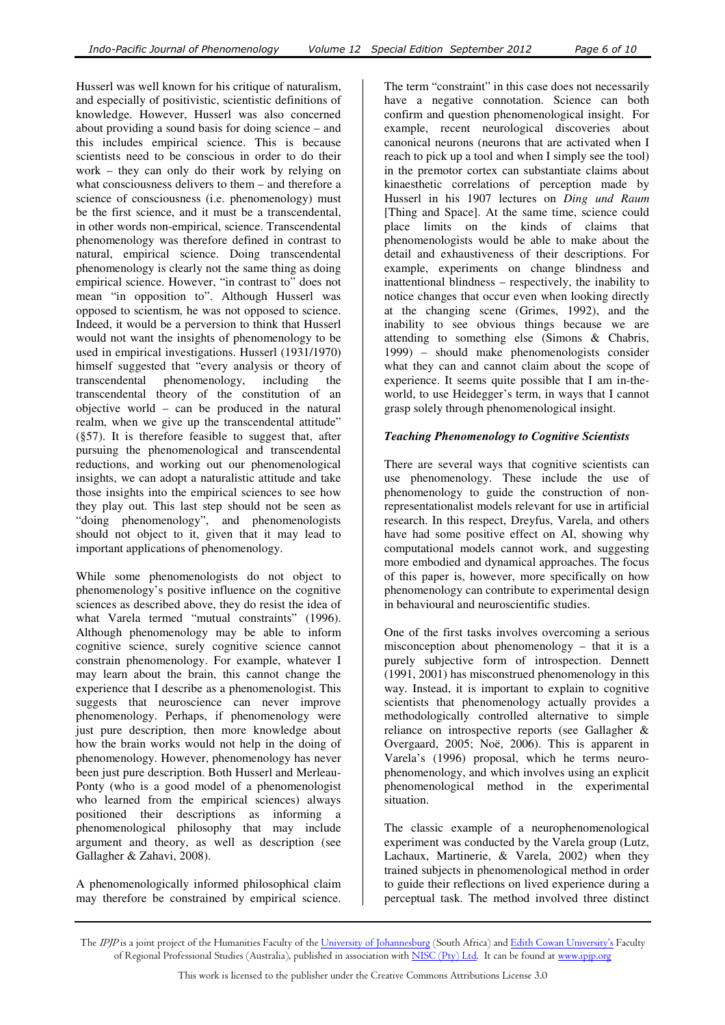Husserl was well known for his critique of naturalism, and especially of positivistic, scientistic definitions of knowledge. However, Husserl was also concerned about providing a sound basis for doing science – and this includes empirical science. This is because scientists need to be conscious in order to do their work – they can only do their work by relying on what consciousness delivers to them – and therefore a science of consciousness (i.e. phenomenology) must be the first science, and it must be a transcendental, in other words non-empirical, science. Transcendental phenomenology was therefore defined in contrast to natural, empirical science. Doing transcendental phenomenology is clearly not the same thing as doing empirical science. However, "in contrast to" does not mean "in opposition to". Although Husserl was opposed to scientism, he was not opposed to science. Indeed, it would be a perversion to think that Husserl would not want the insights of phenomenology to be used in empirical investigations. Husserl (1931/1970) himself suggested that "every analysis or theory of transcendental phenomenology, including the transcendental theory of the constitution of an objective world – can be produced in the natural realm, when we give up the transcendental attitude" (§57). It is therefore feasible to suggest that, after pursuing the phenomenological and transcendental reductions, and working out our phenomenological insights, we can adopt a naturalistic attitude and take those insights into the empirical sciences to see how they play out. This last step should not be seen as "doing phenomenology", and phenomenologists should not object to it, given that it may lead to important applications of phenomenology.

While some phenomenologists do not object to phenomenology's positive influence on the cognitive sciences as described above, they do resist the idea of what Varela termed "mutual constraints" (1996). Although phenomenology may be able to inform cognitive science, surely cognitive science cannot constrain phenomenology. For example, whatever I may learn about the brain, this cannot change the experience that I describe as a phenomenologist. This suggests that neuroscience can never improve phenomenology. Perhaps, if phenomenology were just pure description, then more knowledge about how the brain works would not help in the doing of phenomenology. However, phenomenology has never been just pure description. Both Husserl and Merleau-Ponty (who is a good model of a phenomenologist who learned from the empirical sciences) always positioned their descriptions as informing a phenomenological philosophy that may include argument and theory, as well as description (see Gallagher & Zahavi, 2008).

A phenomenologically informed philosophical claim may therefore be constrained by empirical science. The term "constraint" in this case does not necessarily have a negative connotation. Science can both confirm and question phenomenological insight. For example, recent neurological discoveries about canonical neurons (neurons that are activated when I reach to pick up a tool and when I simply see the tool) in the premotor cortex can substantiate claims about kinaesthetic correlations of perception made by Husserl in his 1907 lectures on *Ding und Raum*  [Thing and Space]. At the same time, science could place limits on the kinds of claims that phenomenologists would be able to make about the detail and exhaustiveness of their descriptions. For example, experiments on change blindness and inattentional blindness – respectively, the inability to notice changes that occur even when looking directly at the changing scene (Grimes, 1992), and the inability to see obvious things because we are attending to something else (Simons & Chabris, 1999) – should make phenomenologists consider what they can and cannot claim about the scope of experience. It seems quite possible that I am in-theworld, to use Heidegger's term, in ways that I cannot grasp solely through phenomenological insight.

### *Teaching Phenomenology to Cognitive Scientists*

There are several ways that cognitive scientists can use phenomenology. These include the use of phenomenology to guide the construction of nonrepresentationalist models relevant for use in artificial research. In this respect, Dreyfus, Varela, and others have had some positive effect on AI, showing why computational models cannot work, and suggesting more embodied and dynamical approaches. The focus of this paper is, however, more specifically on how phenomenology can contribute to experimental design in behavioural and neuroscientific studies.

One of the first tasks involves overcoming a serious misconception about phenomenology – that it is a purely subjective form of introspection. Dennett (1991, 2001) has misconstrued phenomenology in this way. Instead, it is important to explain to cognitive scientists that phenomenology actually provides a methodologically controlled alternative to simple reliance on introspective reports (see Gallagher & Overgaard, 2005; Noë, 2006). This is apparent in Varela's (1996) proposal, which he terms neurophenomenology, and which involves using an explicit phenomenological method in the experimental situation.

The classic example of a neurophenomenological experiment was conducted by the Varela group (Lutz, Lachaux, Martinerie, & Varela, 2002) when they trained subjects in phenomenological method in order to guide their reflections on lived experience during a perceptual task. The method involved three distinct

The *IPJP* is a joint project of the Humanities Faculty of the <u>University of Johannesburg</u> (South Africa) and <u>Edith Cowan University's</u> Faculty of Regional Professional Studies (Australia), published in association with <u>NISC (Pty) Ltd</u>. It can be found at <u>www.ipjp.org</u>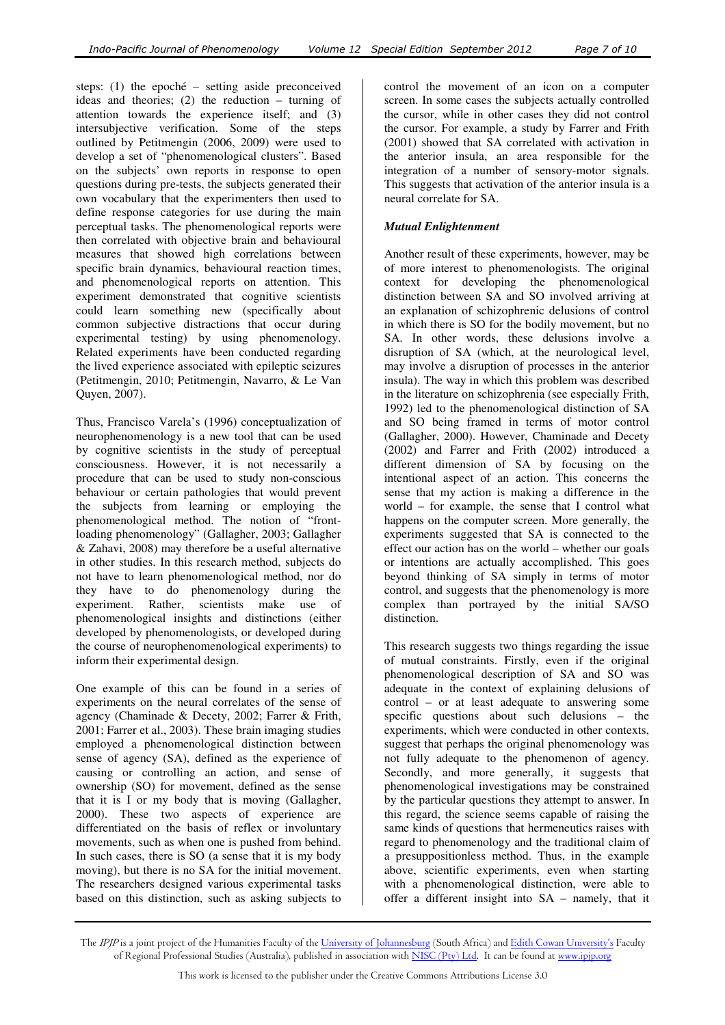steps: (1) the epoché – setting aside preconceived ideas and theories; (2) the reduction – turning of attention towards the experience itself; and (3) intersubjective verification. Some of the steps outlined by Petitmengin (2006, 2009) were used to develop a set of "phenomenological clusters". Based on the subjects' own reports in response to open questions during pre-tests, the subjects generated their own vocabulary that the experimenters then used to define response categories for use during the main perceptual tasks. The phenomenological reports were then correlated with objective brain and behavioural measures that showed high correlations between specific brain dynamics, behavioural reaction times, and phenomenological reports on attention. This experiment demonstrated that cognitive scientists could learn something new (specifically about common subjective distractions that occur during experimental testing) by using phenomenology. Related experiments have been conducted regarding the lived experience associated with epileptic seizures (Petitmengin, 2010; Petitmengin, Navarro, & Le Van Quyen, 2007).

Thus, Francisco Varela's (1996) conceptualization of neurophenomenology is a new tool that can be used by cognitive scientists in the study of perceptual consciousness. However, it is not necessarily a procedure that can be used to study non-conscious behaviour or certain pathologies that would prevent the subjects from learning or employing the phenomenological method. The notion of "frontloading phenomenology" (Gallagher, 2003; Gallagher & Zahavi, 2008) may therefore be a useful alternative in other studies. In this research method, subjects do not have to learn phenomenological method, nor do they have to do phenomenology during the experiment. Rather, scientists make use of phenomenological insights and distinctions (either developed by phenomenologists, or developed during the course of neurophenomenological experiments) to inform their experimental design.

One example of this can be found in a series of experiments on the neural correlates of the sense of agency (Chaminade & Decety, 2002; Farrer & Frith, 2001; Farrer et al., 2003). These brain imaging studies employed a phenomenological distinction between sense of agency (SA), defined as the experience of causing or controlling an action, and sense of ownership (SO) for movement, defined as the sense that it is I or my body that is moving (Gallagher, 2000). These two aspects of experience are differentiated on the basis of reflex or involuntary movements, such as when one is pushed from behind. In such cases, there is SO (a sense that it is my body moving), but there is no SA for the initial movement. The researchers designed various experimental tasks based on this distinction, such as asking subjects to

control the movement of an icon on a computer screen. In some cases the subjects actually controlled the cursor, while in other cases they did not control the cursor. For example, a study by Farrer and Frith (2001) showed that SA correlated with activation in the anterior insula, an area responsible for the integration of a number of sensory-motor signals. This suggests that activation of the anterior insula is a neural correlate for SA.

## *Mutual Enlightenment*

Another result of these experiments, however, may be of more interest to phenomenologists. The original context for developing the phenomenological distinction between SA and SO involved arriving at an explanation of schizophrenic delusions of control in which there is SO for the bodily movement, but no SA. In other words, these delusions involve a disruption of SA (which, at the neurological level, may involve a disruption of processes in the anterior insula). The way in which this problem was described in the literature on schizophrenia (see especially Frith, 1992) led to the phenomenological distinction of SA and SO being framed in terms of motor control (Gallagher, 2000). However, Chaminade and Decety (2002) and Farrer and Frith (2002) introduced a different dimension of SA by focusing on the intentional aspect of an action. This concerns the sense that my action is making a difference in the world – for example, the sense that I control what happens on the computer screen. More generally, the experiments suggested that SA is connected to the effect our action has on the world – whether our goals or intentions are actually accomplished. This goes beyond thinking of SA simply in terms of motor control, and suggests that the phenomenology is more complex than portrayed by the initial SA/SO distinction.

This research suggests two things regarding the issue of mutual constraints. Firstly, even if the original phenomenological description of SA and SO was adequate in the context of explaining delusions of control – or at least adequate to answering some specific questions about such delusions – the experiments, which were conducted in other contexts, suggest that perhaps the original phenomenology was not fully adequate to the phenomenon of agency. Secondly, and more generally, it suggests that phenomenological investigations may be constrained by the particular questions they attempt to answer. In this regard, the science seems capable of raising the same kinds of questions that hermeneutics raises with regard to phenomenology and the traditional claim of a presuppositionless method. Thus, in the example above, scientific experiments, even when starting with a phenomenological distinction, were able to offer a different insight into SA – namely, that it

The *IPJP* is a joint project of the Humanities Faculty of the <u>University of Johannesburg</u> (South Africa) and <u>Edith Cowan University's</u> Faculty of Regional Professional Studies (Australia), published in association with <u>NISC (Pty) Ltd</u>. It can be found at <u>www.ipjp.org</u>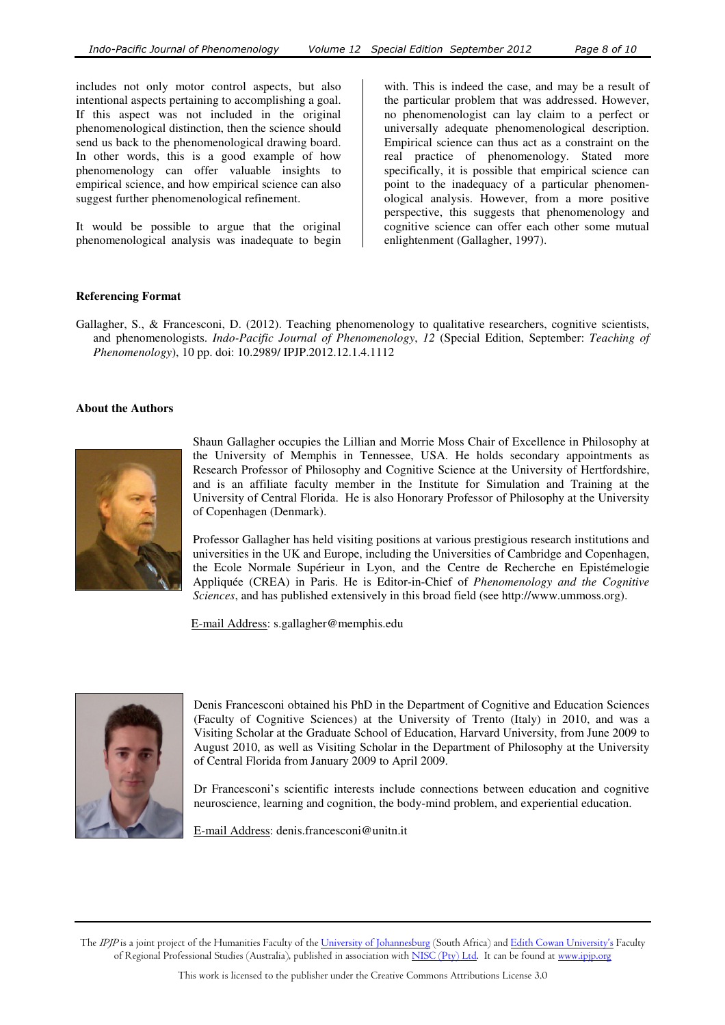includes not only motor control aspects, but also intentional aspects pertaining to accomplishing a goal. If this aspect was not included in the original phenomenological distinction, then the science should send us back to the phenomenological drawing board. In other words, this is a good example of how phenomenology can offer valuable insights to empirical science, and how empirical science can also suggest further phenomenological refinement.

It would be possible to argue that the original phenomenological analysis was inadequate to begin with. This is indeed the case, and may be a result of the particular problem that was addressed. However, no phenomenologist can lay claim to a perfect or universally adequate phenomenological description. Empirical science can thus act as a constraint on the real practice of phenomenology. Stated more specifically, it is possible that empirical science can point to the inadequacy of a particular phenomenological analysis. However, from a more positive perspective, this suggests that phenomenology and cognitive science can offer each other some mutual enlightenment (Gallagher, 1997).

#### **Referencing Format**

Gallagher, S., & Francesconi, D. (2012). Teaching phenomenology to qualitative researchers, cognitive scientists, and phenomenologists. *Indo-Pacific Journal of Phenomenology*, *12* (Special Edition, September: *Teaching of Phenomenology*), 10 pp. doi: 10.2989/ IPJP.2012.12.1.4.1112

#### **About the Authors**



Shaun Gallagher occupies the Lillian and Morrie Moss Chair of Excellence in Philosophy at the University of Memphis in Tennessee, USA. He holds secondary appointments as Research Professor of Philosophy and Cognitive Science at the University of Hertfordshire, and is an affiliate faculty member in the Institute for Simulation and Training at the University of Central Florida. He is also Honorary Professor of Philosophy at the University of Copenhagen (Denmark).

Professor Gallagher has held visiting positions at various prestigious research institutions and universities in the UK and Europe, including the Universities of Cambridge and Copenhagen, the Ecole Normale Supérieur in Lyon, and the Centre de Recherche en Epistémelogie Appliquée (CREA) in Paris. He is Editor-in-Chief of *Phenomenology and the Cognitive Sciences*, and has published extensively in this broad field (see http://www.ummoss.org).

E-mail Address: s.gallagher@memphis.edu



Denis Francesconi obtained his PhD in the Department of Cognitive and Education Sciences (Faculty of Cognitive Sciences) at the University of Trento (Italy) in 2010, and was a Visiting Scholar at the Graduate School of Education, Harvard University, from June 2009 to August 2010, as well as Visiting Scholar in the Department of Philosophy at the University of Central Florida from January 2009 to April 2009.

Dr Francesconi's scientific interests include connections between education and cognitive neuroscience, learning and cognition, the body-mind problem, and experiential education.

E-mail Address: denis.francesconi@unitn.it

The IPJP is a joint project of the Humanities Faculty of the University of Johannesburg (South Africa) and Edith Cowan University's Faculty of Regional Professional Studies (Australia), published in association with NISC (Pty) Ltd. It can be found at www.ipjp.org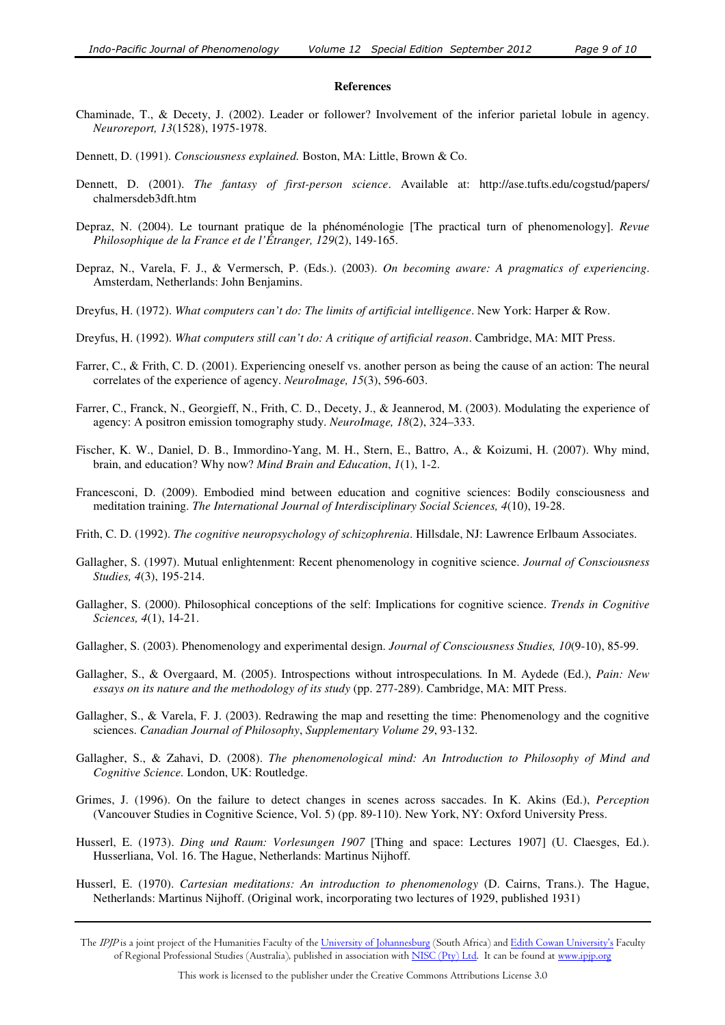#### **References**

- Chaminade, T., & Decety, J. (2002). Leader or follower? Involvement of the inferior parietal lobule in agency. *Neuroreport, 13*(1528), 1975-1978.
- Dennett, D. (1991). *Consciousness explained.* Boston, MA: Little, Brown & Co.
- Dennett, D. (2001). *The fantasy of first-person science*. Available at: http://ase.tufts.edu/cogstud/papers/ chalmersdeb3dft.htm
- Depraz, N. (2004). Le tournant pratique de la phénoménologie [The practical turn of phenomenology]. *Revue Philosophique de la France et de l'Étranger, 129*(2), 149-165.
- Depraz, N., Varela, F. J., & Vermersch, P. (Eds.). (2003). *On becoming aware: A pragmatics of experiencing*. Amsterdam, Netherlands: John Benjamins.
- Dreyfus, H. (1972). *What computers can't do: The limits of artificial intelligence*. New York: Harper & Row.
- Dreyfus, H. (1992). *What computers still can't do: A critique of artificial reason*. Cambridge, MA: MIT Press.
- Farrer, C., & Frith, C. D. (2001). Experiencing oneself vs. another person as being the cause of an action: The neural correlates of the experience of agency. *NeuroImage, 15*(3), 596-603.
- Farrer, C., Franck, N., Georgieff, N., Frith, C. D., Decety, J., & Jeannerod, M. (2003). Modulating the experience of agency: A positron emission tomography study. *NeuroImage, 18*(2), 324–333.
- Fischer, K. W., Daniel, D. B., Immordino-Yang, M. H., Stern, E., Battro, A., & Koizumi, H. (2007). Why mind, brain, and education? Why now? *Mind Brain and Education*, *1*(1), 1-2.
- Francesconi, D. (2009). Embodied mind between education and cognitive sciences: Bodily consciousness and meditation training. *The International Journal of Interdisciplinary Social Sciences, 4*(10), 19-28.
- Frith, C. D. (1992). *The cognitive neuropsychology of schizophrenia*. Hillsdale, NJ: Lawrence Erlbaum Associates.
- Gallagher, S. (1997). Mutual enlightenment: Recent phenomenology in cognitive science. *Journal of Consciousness Studies, 4*(3), 195-214.
- Gallagher, S. (2000). Philosophical conceptions of the self: Implications for cognitive science. *Trends in Cognitive Sciences, 4*(1), 14-21.
- Gallagher, S. (2003). Phenomenology and experimental design. *Journal of Consciousness Studies, 10*(9-10), 85-99.
- Gallagher, S., & Overgaard, M. (2005). Introspections without introspeculations*.* In M. Aydede (Ed.), *Pain: New essays on its nature and the methodology of its study* (pp. 277-289). Cambridge, MA: MIT Press.
- Gallagher, S., & Varela, F. J. (2003). Redrawing the map and resetting the time: Phenomenology and the cognitive sciences. *Canadian Journal of Philosophy*, *Supplementary Volume 29*, 93-132.
- Gallagher, S., & Zahavi, D. (2008). *The phenomenological mind: An Introduction to Philosophy of Mind and Cognitive Science.* London, UK: Routledge.
- Grimes, J. (1996). On the failure to detect changes in scenes across saccades. In K. Akins (Ed.), *Perception*  (Vancouver Studies in Cognitive Science, Vol. 5) (pp. 89-110). New York, NY: Oxford University Press.
- Husserl, E. (1973). *Ding und Raum: Vorlesungen 1907* [Thing and space: Lectures 1907] (U. Claesges, Ed.). Husserliana, Vol. 16. The Hague, Netherlands: Martinus Nijhoff.
- Husserl, E. (1970). *Cartesian meditations: An introduction to phenomenology* (D. Cairns, Trans.). The Hague, Netherlands: Martinus Nijhoff. (Original work, incorporating two lectures of 1929, published 1931)

The IPJP is a joint project of the Humanities Faculty of the University of Johannesburg (South Africa) and Edith Cowan University's Faculty of Regional Professional Studies (Australia), published in association with NISC (Pty) Ltd. It can be found at www.ipjp.org